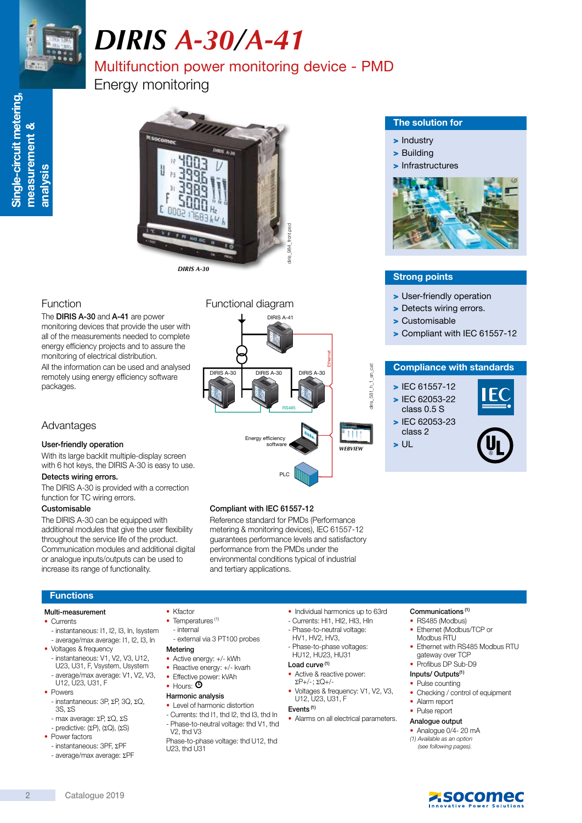

Single-circuit metering,

Single-circuit metering,

measurement &

measurement

త

analysis

# *DIRIS A-30/A-41*

### Multifunction power monitoring device - PMD

Energy monitoring



#### Function

The DIRIS A-30 and A-41 are power monitoring devices that provide the user with all of the measurements needed to complete energy efficiency projects and to assure the monitoring of electrical distribution.

All the information can be used and analysed remotely using energy efficiency software packages.

#### Advantages

#### User-friendly operation

With its large backlit multiple-display screen with 6 hot keys, the DIRIS A-30 is easy to use.

#### Detects wiring errors.

The DIRIS A-30 is provided with a correction function for TC wiring errors.

#### Customisable

The DIRIS A-30 can be equipped with additional modules that give the user flexibility throughout the service life of the product. Communication modules and additional digital or analogue inputs/outputs can be used to increase its range of functionality.

#### Functional diagram

## RS485 DIRIS A-30 DIRIS A-30 DIRIS A-30 Ethernet Energy effic software PLC DIRIS  $4-4$ *WEBVIEW*

#### The solution for

- > Industry
- > Building
- > Infrastructures



#### Strong points

- > User-friendly operation
- > Detects wiring errors.
- > Customisable
- > Compliant with IEC 61557-12

#### Compliance with standards

- > IEC 61557-12 > IEC 62053-22 class 0.5 S
- > IEC 62053-23 class 2





#### Compliant with IEC 61557-12

Reference standard for PMDs (Performance metering & monitoring devices), IEC 61557-12 guarantees performance levels and satisfactory performance from the PMDs under the environmental conditions typical of industrial and tertiary applications.

#### **Functions**

#### Multi-measurement

- Currents
- instantaneous: I1, I2, I3, In, Isystem - average/max average: I1, I2, I3, In
- Voltages & frequency - instantaneous: V1, V2, V3, U12, U23, U31, F, Vsystem, Usystem - average/max average: V1, V2, V3,
- U12, U23, U31, F • Powers
- instantaneous: 3P, ΣP, 3Q, ΣQ, 3S, ΣS - max average: ΣP, ΣQ, ΣS
- predictive: (ΣP), (ΣQ), (ΣS)
- Power factors
- instantaneous: 3PF, ΣPF - average/max average: ΣPF
- Kfactor
- Temperatures<sup>(1)</sup>
- internal
- external via 3 PT100 probes Metering
- 
- Active energy: +/- kWh
- Reactive energy: +/- kvarh • Effective power: kVAh
- Hours:  $\Phi$

#### Harmonic analysis

- Level of harmonic distortion
- Currents: thd I1, thd I2, thd I3, thd In - Phase-to-neutral voltage: thd V1, thd
- V2, thd V3 Phase-to-phase voltage: thd U12, thd U23, thd U31
- Individual harmonics up to 63rd
- Currents: HI1, HI2, HI3, HIn
- Phase-to-neutral voltage: HV1, HV2, HV3,
- Phase-to-phase voltages:
- HU12, HU23, HU31 Load curve<sup>(1)</sup>
- Active & reactive power:
- ΣP+/-; ΣQ+/- • Voltages & frequency: V1, V2, V3, U12, U23, U31, F

#### Events (1)

- Alarms on all electrical parameters.
- Analogue output

• Alarm report • Pulse report

Communications (1) • RS485 (Modbus) • Ethernet (Modbus/TCP or Modbus RTU

gateway over TCP • Profibus DP Sub-D9 Inputs/ Outputs(1) • Pulse counting

• Ethernet with RS485 Modbus RTU

• Checking / control of equipment

- Analogue 0/4- 20 mA (1) Available as an option
	- (see following pages).



- 
- tiris\_581\_h\_1\_en\_cat diris\_581\_h\_1\_en\_cat
	- > UL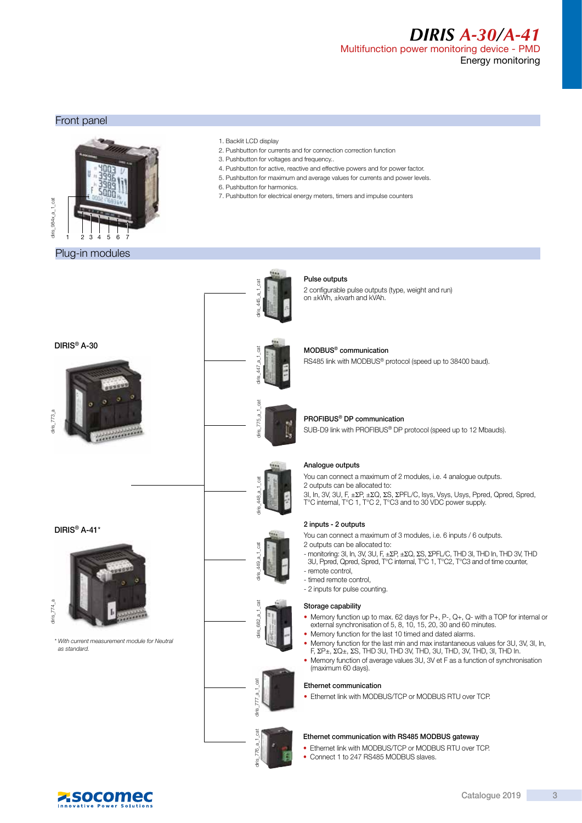#### *DIRIS A-30/A-41* Multifunction power monitoring device - PMD Energy monitoring

#### Front panel



#### Plug-in modules

- 1. Backlit LCD display
- 2. Pushbutton for currents and for connection correction function
- 3. Pushbutton for voltages and frequency..
- 4. Pushbutton for active, reactive and effective powers and for power factor.
- 5. Pushbutton for maximum and average values for currents and power levels.
- 6. Pushbutton for harmonics.
- 7. Pushbutton for electrical energy meters, timers and impulse counters



\* With current measurement module for Neutral as standard.



diris  $447$  a 1 cat

 $447$ 

#### Pulse outputs

2 configurable pulse outputs (type, weight and run) on ±kWh, ±kvarh and kVAh.

### MODBUS® communication

RS485 link with MODBUS® protocol (speed up to 38400 baud).



#### PROFIBUS® DP communication

SUB-D9 link with PROFIBUS® DP protocol (speed up to 12 Mbauds).



diris  $449$  a 1 cat

diris $682$  a 1 cat

diris  $776a$  1 cat diris  $777a-1$  cat

¶ris

#### Analogue outputs

You can connect a maximum of 2 modules, i.e. 4 analogue outputs. 2 outputs can be allocated to:

3I, In, 3V, 3U, F, ±ΣP, ±ΣQ, ΣS, ΣPFL/C, Isys, Vsys, Usys, Ppred, Qpred, Spred,<br>T°C internal, T°C 1, T°C 2, T°C3 and to 30 VDC power supply.

#### 2 inputs - 2 outputs

You can connect a maximum of 3 modules, i.e. 6 inputs / 6 outputs.

- 2 outputs can be allocated to: - monitoring: 3I, In, 3V, 3U, F, ±ΣP, ±ΣQ, ΣS, ΣPFL/C, THD 3I, THD In, THD 3V, THD
- 3U, Ppred, Qpred, Spred, T°C internal, T°C 1, T°C2, T°C3 and of time counter,
- remote control, - timed remote control,
- 
- 2 inputs for pulse counting.

#### Storage capability

- Memory function up to max. 62 days for P+, P-, Q+, Q- with a TOP for internal or external synchronisation of 5, 8, 10, 15, 20, 30 and 60 minutes.
- Memory function for the last 10 timed and dated alarms.
- Memory function for the last min and max instantaneous values for 3U, 3V, 3I, In, F, ΣP±, ΣQ±, ΣS, THD 3U, THD 3V, THD, 3U, THD, 3V, THD, 3I, THD In.
- Memory function of average values 3U, 3V et F as a function of synchronisation (maximum 60 days).

#### Ethernet communication

• Ethernet link with MODBUS/TCP or MODBUS RTU over TCP.

#### Ethernet communication with RS485 MODBUS gateway

- Ethernet link with MODBUS/TCP or MODBUS RTU over TCP.
- Connect 1 to 247 RS485 MODBUS slaves.

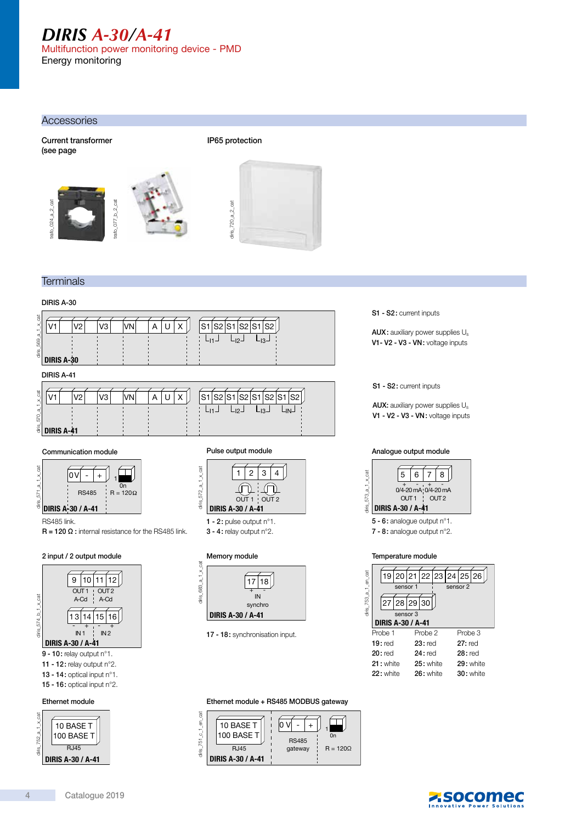## *DIRIS A-30/A-41*

Multifunction power monitoring device - PMD Energy monitoring

#### **Accessories**

Current transformer (see page







IP65 protection

### **Terminals**

#### DIRIS A-30





RS485 link.

 $R = 120 \Omega$ : internal resistance for the RS485 link.

#### 2 input / 2 output module Memory module







1 - 2: pulse output n°1. 3 - 4: relay output n°2.



17 - 18: synchronisation input.

S1 - S2: current inputs

AUX: auxiliary power supplies Us V1- V2 - V3 - VN: voltage inputs

S1 - S2: current inputs

AUX: auxiliary power supplies Us V1 - V2 - V3 - VN: voltage inputs



7 - 8: analogue output n°2.

#### Temperature module



Ethernet module + RS485 MODBUS gateway



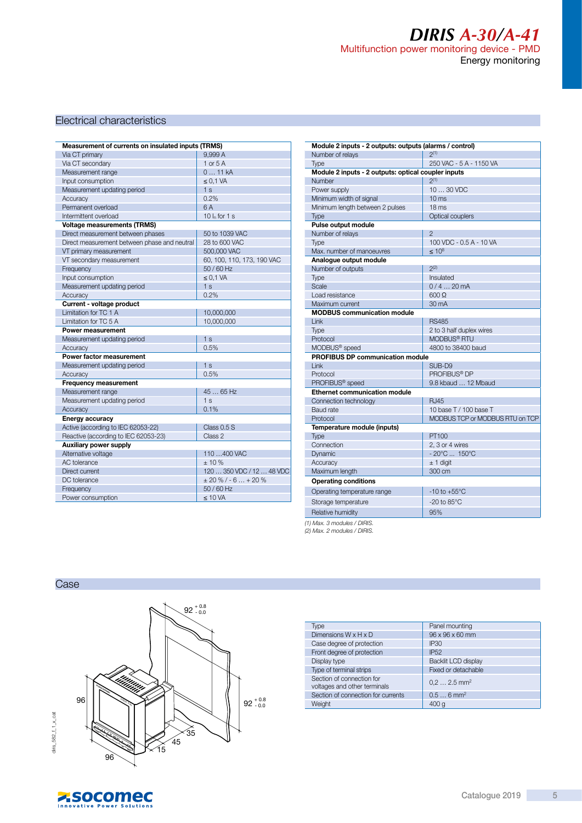### *DIRIS A-30/A-41* Multifunction power monitoring device - PMD Energy monitoring

#### Electrical characteristics

| Measurement of currents on insulated inputs (TRMS) |                            |  |  |
|----------------------------------------------------|----------------------------|--|--|
| Via CT primary                                     | 9.999 A                    |  |  |
| Via CT secondary                                   | 1 or $5A$                  |  |  |
| Measurement range                                  | 011kA                      |  |  |
| Input consumption                                  | $\leq$ 0,1 VA              |  |  |
| Measurement updating period                        | 1 <sub>s</sub>             |  |  |
| Accuracy                                           | 0.2%                       |  |  |
| Permanent overload                                 | 6A                         |  |  |
| Intermittent overload                              | 10 $I_n$ for 1 s           |  |  |
| <b>Voltage measurements (TRMS)</b>                 |                            |  |  |
| Direct measurement between phases                  | 50 to 1039 VAC             |  |  |
| Direct measurement between phase and neutral       | 28 to 600 VAC              |  |  |
| VT primary measurement                             | 500,000 VAC                |  |  |
| VT secondary measurement                           | 60, 100, 110, 173, 190 VAC |  |  |
| Frequency                                          | 50 / 60 Hz                 |  |  |
| Input consumption                                  | $\leq$ 0.1 VA              |  |  |
| Measurement updating period                        | 1 <sub>s</sub>             |  |  |
| Accuracy                                           | 0.2%                       |  |  |
| Current - voltage product                          |                            |  |  |
| Limitation for TC 1 A                              | 10,000,000                 |  |  |
| Limitation for TC 5 A                              | 10,000,000                 |  |  |
| Power measurement                                  |                            |  |  |
| Measurement updating period                        | 1 <sub>s</sub>             |  |  |
| Accuracy                                           | 0.5%                       |  |  |
| Power factor measurement                           |                            |  |  |
| Measurement updating period                        | 1 <sub>s</sub>             |  |  |
| Accuracy                                           | 0.5%                       |  |  |
| <b>Frequency measurement</b>                       |                            |  |  |
| Measurement range                                  | 45  65 Hz                  |  |  |
| Measurement updating period                        | 1 <sub>s</sub>             |  |  |
| Accuracy                                           | 0.1%                       |  |  |
| <b>Energy accuracy</b>                             |                            |  |  |
| Active (according to IEC 62053-22)                 | Class 0.5 S                |  |  |
| Reactive (according to IEC 62053-23)               | Class 2                    |  |  |
| <b>Auxiliary power supply</b>                      |                            |  |  |
| Alternative voltage                                | 110 400 VAC                |  |  |
| <b>AC</b> tolerance                                | ± 10%                      |  |  |
| Direct current                                     | 120  350 VDC / 12  48 VDC  |  |  |
| DC tolerance                                       | $\pm 20 \%$ / - 6  + 20 %  |  |  |
| Frequency                                          | 50 / 60 Hz                 |  |  |
| Power consumption                                  | $\leq 10$ VA               |  |  |
|                                                    |                            |  |  |

| Module 2 inputs - 2 outputs: outputs (alarms / control)       | 2(1)                              |
|---------------------------------------------------------------|-----------------------------------|
| Number of relays                                              |                                   |
| Type                                                          | 250 VAC - 5 A - 1150 VA           |
| Module 2 inputs - 2 outputs: optical coupler inputs<br>Number | $2^{(1)}$                         |
|                                                               |                                   |
| Power supply                                                  | 10  30 VDC<br>10 <sub>ms</sub>    |
| Minimum width of signal                                       |                                   |
| Minimum length between 2 pulses                               | 18 <sub>ms</sub>                  |
| <b>Type</b>                                                   | Optical couplers                  |
| Pulse output module<br>Number of relays                       | $\mathfrak{D}$                    |
|                                                               | 100 VDC - 0.5 A - 10 VA           |
| <b>Type</b><br>Max, number of manoeuvres                      | $< 10^8$                          |
| Analogue output module                                        |                                   |
| Number of outputs                                             | $2^{(2)}$                         |
| Type                                                          | Insulated                         |
| Scale                                                         | $0/420$ mA                        |
| Load resistance                                               | $600 \Omega$                      |
| Maximum current                                               | 30 mA                             |
| <b>MODBUS communication module</b>                            |                                   |
| Link                                                          | <b>RS485</b>                      |
| Type                                                          | 2 to 3 half duplex wires          |
| Protocol                                                      | MODBUS <sup>®</sup> RTU           |
| MODBUS <sup>®</sup> speed                                     | 4800 to 38400 baud                |
| <b>PROFIBUS DP communication module</b>                       |                                   |
| I ink                                                         | SUB-D9                            |
| Protocol                                                      | PROFIBUS <sup>®</sup> DP          |
| PROFIBUS <sup>®</sup> speed                                   | 9.8 kbaud  12 Mbaud               |
| <b>Ethernet communication module</b>                          |                                   |
| Connection technology                                         | RJ45                              |
| Baud rate                                                     | 10 base T / 100 base T            |
| Protocol                                                      | MODBUS TCP or MODBUS RTU on TCP   |
| Temperature module (inputs)                                   |                                   |
| Type                                                          | PT100                             |
| Connection                                                    | 2, 3 or 4 wires                   |
| Dynamic                                                       | $-20^{\circ}$ C  150 $^{\circ}$ C |
| Accuracy                                                      | $± 1$ digit                       |
| Maximum length                                                | 300 cm                            |
| <b>Operating conditions</b>                                   |                                   |
| Operating temperature range                                   | $-10$ to $+55^{\circ}$ C          |
| Storage temperature                                           | $-20$ to $85^{\circ}$ C           |
| Relative humidity                                             | 95%                               |
|                                                               |                                   |

(1) Max. 3 modules / DIRIS. (2) Max. 2 modules / DIRIS.

Case



| Type                                                      | Panel mounting           |
|-----------------------------------------------------------|--------------------------|
| Dimensions $W \times H \times D$                          | 96 x 96 x 60 mm          |
| Case degree of protection                                 | IP <sub>30</sub>         |
| Front degree of protection                                | <b>IP52</b>              |
| Display type                                              | Backlit LCD display      |
| Type of terminal strips                                   | Fixed or detachable      |
| Section of connection for<br>voltages and other terminals | $0.22.5$ mm <sup>2</sup> |
| Section of connection for currents                        | $0.56$ mm <sup>2</sup>   |
| Weight                                                    | 400q                     |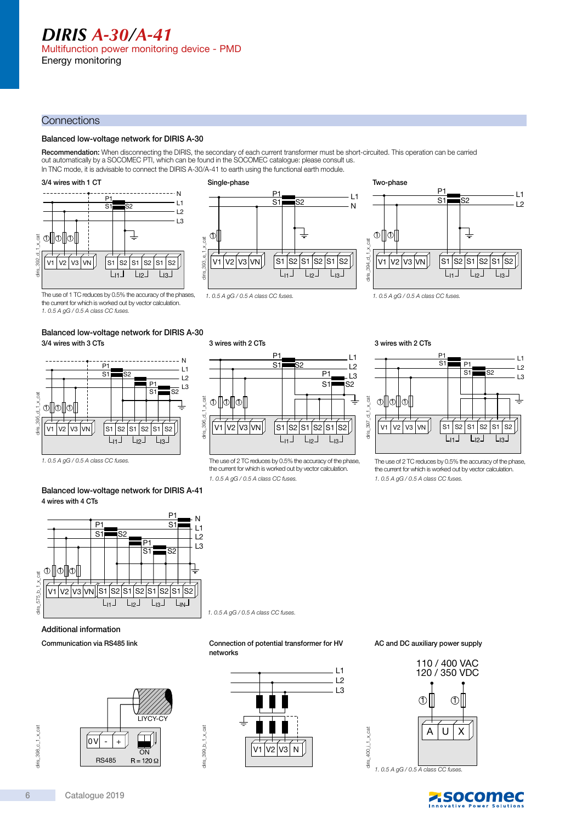#### **Connections**

#### Balanced low-voltage network for DIRIS A-30

**Recommendation:** When disconnecting the DIRIS, the secondary of each current transformer must be short-circuited. This operation can be carried<br>out automatically by a SOCOMEC PTI, which can be found in the SOCOMEC catalog In TNC mode, it is advisable to connect the DIRIS A-30/A-41 to earth using the functional earth module

#### 3/4 wires with 1 CT



#### Single-phase

diris\_396\_d\_1\_x\_cat

diris 396 d 1 x cat

V1 V2 V3 VN

1. 0.5 A gG / 0.5 A class CC fuses.

3 wires with 2 CTs

 $\circ$  1  $\circ$  1  $\circ$  1



S2

 $L_{11}$   $L_{12}$   $L_{13}$ S1 | S2 | S1 | S2 | S1

P1  $S<sub>1</sub>$ 

> $\overline{P1}$  $\overline{s}$

 $\overline{1}$  $\overline{1}$ L3 S2

the current for which is worked out by vector calculation.



The use of 1 TC reduces by 0.5% the accuracy of the phases, the current for which is worked out by vector calculation.

1. 0.5 A gG / 0.5 A class CC fuses.

#### Balanced low-voltage network for DIRIS A-30 3/4 wires with 3 CTs



#### Balanced low-voltage network for DIRIS A-41 4 wires with 4 CTs



1. 0.5 A gG / 0.5 A class CC fuses.

diris\_399\_b\_1\_x\_cat

diris\_399\_b\_1\_ $\times$ cat



Communication via RS485 link





Connection of potential transformer for HV

#### AC and DC auxiliary power supply



1. 0.5 A gG / 0.5 A class CC fuses.

diris\_400\_i\_1\_x\_cat

diris.

400\_i\_1\_x\_cat





The use of 2 TC reduces by 0.5% the accuracy of the phase, the current for which is worked out by vector calculation. 1. 0.5 A gG / 0.5 A class CC fuses.

**Z**socomec